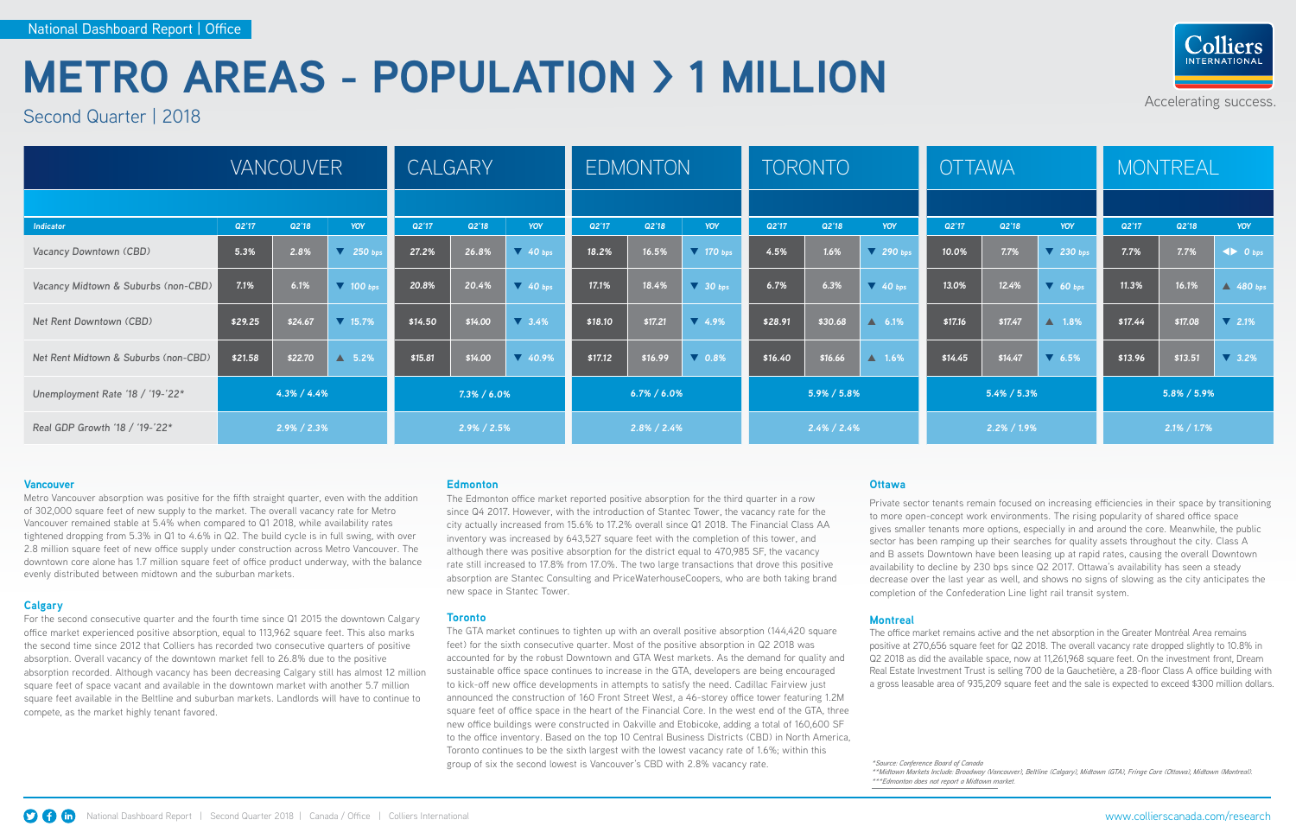### Accelerating success.



#### **Vancouver**

Metro Vancouver absorption was positive for the fifth straight quarter, even with the addition of 302,000 square feet of new supply to the market. The overall vacancy rate for Metro Vancouver remained stable at 5.4% when compared to Q1 2018, while availability rates tightened dropping from 5.3% in Q1 to 4.6% in Q2. The build cycle is in full swing, with over 2.8 million square feet of new office supply under construction across Metro Vancouver. The downtown core alone has 1.7 million square feet of office product underway, with the balance evenly distributed between midtown and the suburban markets.

#### **Calgary**

For the second consecutive quarter and the fourth time since Q1 2015 the downtown Calgary office market experienced positive absorption, equal to 113,962 square feet. This also marks the second time since 2012 that Colliers has recorded two consecutive quarters of positive absorption. Overall vacancy of the downtown market fell to 26.8% due to the positive absorption recorded. Although vacancy has been decreasing Calgary still has almost 12 million square feet of space vacant and available in the downtown market with another 5.7 million square feet available in the Beltline and suburban markets. Landlords will have to continue to compete, as the market highly tenant favored.

#### **Edmonton**

The Edmonton office market reported positive absorption for the third quarter in a row since Q4 2017. However, with the introduction of Stantec Tower, the vacancy rate for the city actually increased from 15.6% to 17.2% overall since Q1 2018. The Financial Class AA inventory was increased by 643,527 square feet with the completion of this tower, and although there was positive absorption for the district equal to 470,985 SF, the vacancy rate still increased to 17.8% from 17.0%. The two large transactions that drove this positive absorption are Stantec Consulting and PriceWaterhouseCoopers, who are both taking brand new space in Stantec Tower.

#### **Toronto**

The GTA market continues to tighten up with an overall positive absorption (144,420 square feet) for the sixth consecutive quarter. Most of the positive absorption in Q2 2018 was accounted for by the robust Downtown and GTA West markets. As the demand for quality and sustainable office space continues to increase in the GTA, developers are being encouraged to kick-off new office developments in attempts to satisfy the need. Cadillac Fairview just announced the construction of 160 Front Street West, a 46-storey office tower featuring 1.2M square feet of office space in the heart of the Financial Core. In the west end of the GTA, three new office buildings were constructed in Oakville and Etobicoke, adding a total of 160,600 SF to the office inventory. Based on the top 10 Central Business Districts (CBD) in North America, Toronto continues to be the sixth largest with the lowest vacancy rate of 1.6%; within this group of six the second lowest is Vancouver's CBD with 2.8% vacancy rate.

#### **Ottawa**

Private sector tenants remain focused on increasing efficiencies in their space by transitioning to more open-concept work environments. The rising popularity of shared office space gives smaller tenants more options, especially in and around the core. Meanwhile, the public sector has been ramping up their searches for quality assets throughout the city. Class A and B assets Downtown have been leasing up at rapid rates, causing the overall Downtown availability to decline by 230 bps since Q2 2017. Ottawa's availability has seen a steady decrease over the last year as well, and shows no signs of slowing as the city anticipates the completion of the Confederation Line light rail transit system.

#### **Montreal**

The office market remains active and the net absorption in the Greater Montréal Area remains positive at 270,656 square feet for Q2 2018. The overall vacancy rate dropped slightly to 10.8% in Q2 2018 as did the available space, now at 11,261,968 square feet. On the investment front, Dream Real Estate Investment Trust is selling 700 de la Gauchetière, a 28-floor Class A office building with a gross leasable area of 935,209 square feet and the sale is expected to exceed \$300 million dollars.

*\*Source: Conference Board of Canada \*\*\*Edmonton does not report a Midtown market.*



# **METRO AREAS - POPULATION > 1 MILLION**

Second Quarter | 2018

|                                      | <b>VANCOUVER</b> |         |                       | <b>CALGARY</b>  |         |                               | <b>EDMONTON</b> |         |                     | <b>TORONTO</b>  |         |                  | <b>OTTAWA</b>   |         |                     | <b>MONTREAL</b> |         |                            |
|--------------------------------------|------------------|---------|-----------------------|-----------------|---------|-------------------------------|-----------------|---------|---------------------|-----------------|---------|------------------|-----------------|---------|---------------------|-----------------|---------|----------------------------|
|                                      |                  |         |                       |                 |         |                               |                 |         |                     |                 |         |                  |                 |         |                     |                 |         |                            |
| Indicator                            | Q2'17            | Q2'18   | YOY                   | Q2'17           | Q2'18   | YOY                           | Q2'17           | Q2'18   | YOY                 | Q2'17           | Q2'18   | <b>YOY</b>       | Q2'17           | Q2'18   | YOY                 | Q2'17           | Q2'18   | YOY                        |
| Vacancy Downtown (CBD)               | 5.3%             | 2.8%    | $\overline{V}$ 250 bp | 27.2%           | 26.8%   | $\sqrt{40}$ bps               | 18.2%           | 16.5%   | $\sqrt{170}$ bps    | 4.5%            | 1.6%    | $\sqrt{290}$ bps | 10.0%           | 7.7%    | $\sqrt{230}$ bps    | 7.7%            | 7.7%    | $\blacktriangleleft$ 0 bps |
| Vacancy Midtown & Suburbs (non-CBD)  | 7.1%             | 6.1%    | $\sqrt{ }$ 100 bps    | 20.8%           | 20.4%   | $\sqrt{40}$ bps               | 17.1%           | 18.4%   | $\sqrt{30}$ bps     | 6.7%            | 6.3%    | $\sqrt{40}$ bps  | 13.0%           | 12.4%   | $\sqrt{60}$ bps     | 11.3%           | 16.1%   | $\triangle$ 480 bps        |
| Net Rent Downtown (CBD)              | \$29.25          | \$24.67 | $\overline{1}$ 15.7%  | \$14.50         | \$14.00 | $\overline{\phantom{0}}$ 3.4% | \$18.10         | \$17.21 | $\overline{1}$ 4.9% | \$28.91         | \$30.68 | $\triangle$ 6.1% | \$17.16         | \$17.47 | ▲ 1.8%              | \$17.44         | \$17.08 | $\overline{V}$ 2.1%        |
| Net Rent Midtown & Suburbs (non-CBD) | \$21.58          | \$22.70 | $\triangle$ 5.2%      | \$15.81         | \$14.00 | $\sqrt{40.9\%}$               | \$17.12         | \$16.99 | $\sqrt{0.8\%}$      | \$16.40         | \$16.66 | $\triangle$ 1.6% | \$14.45         | \$14.47 | $\overline{V}$ 6.5% | \$13.96         | \$13.51 | $\overline{V}$ 3.2%        |
| Unemployment Rate '18 / '19-'22*     | $4.3\% / 4.4\%$  |         |                       | $7.3\% / 6.0\%$ |         |                               | $6.7\% / 6.0\%$ |         |                     | $5.9\% / 5.8\%$ |         |                  | $5.4\% / 5.3\%$ |         |                     | $5.8\% / 5.9\%$ |         |                            |
| Real GDP Growth '18 / '19-'22*       | $2.9\%$ / 2.3%   |         |                       | $2.9\%$ / 2.5%  |         |                               | $2.8\%$ / 2.4%  |         |                     | $2.4\% / 2.4\%$ |         |                  | $2.2\% / 1.9\%$ |         |                     | $2.1\% / 1.7\%$ |         |                            |

*<sup>\*\*</sup>Midtown Markets Include: Broadway (Vancouver), Beltline (Calgary), Midtown (GTA), Fringe Core (Ottawa), Midtown (Montreal).*